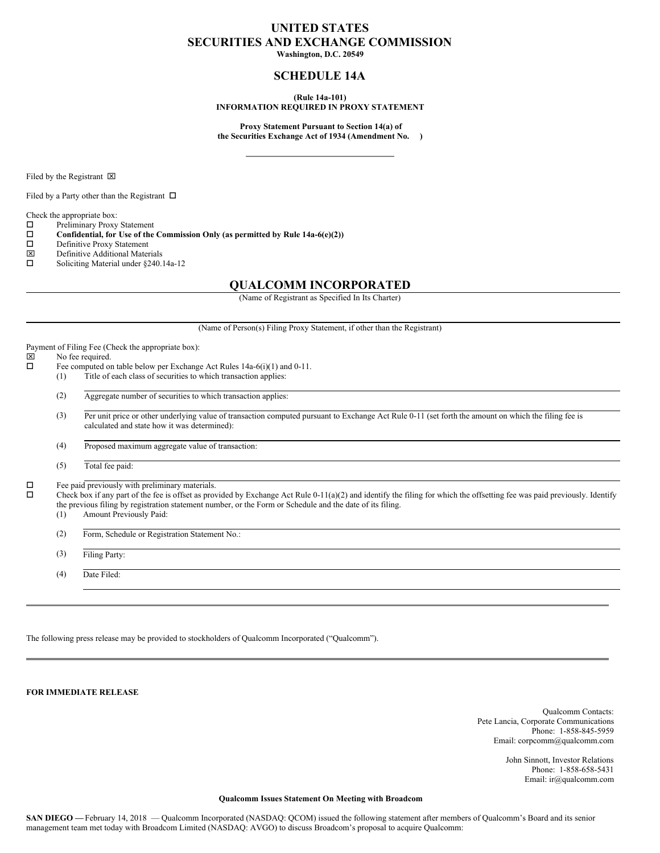## **UNITED STATES SECURITIES AND EXCHANGE COMMISSION**

**Washington, D.C. 20549**

## **SCHEDULE 14A**

**(Rule 14a-101)**

**INFORMATION REQUIRED IN PROXY STATEMENT**

**Proxy Statement Pursuant to Section 14(a) of the Securities Exchange Act of 1934 (Amendment No. )**

Filed by the Registrant  $\boxtimes$ 

Filed by a Party other than the Registrant  $\Box$ 

Check the appropriate box:

- $\square$  Preliminary Proxy Statement<br> $\square$  Confidential, for Use of the
- o **Confidential, for Use of the Commission Only (as permitted by Rule 14a-6(e)(2))**
- $\square$  Definitive Proxy Statement<br> $\square$  Definitive Additional Mater
- Definitive Additional Materials
- $\square$  Soliciting Material under §240.14a-12

### **QUALCOMM INCORPORATED**

(Name of Registrant as Specified In Its Charter)

(Name of Person(s) Filing Proxy Statement, if other than the Registrant)

Payment of Filing Fee (Check the appropriate box):<br> $|\overline{x}|$  No fee required

# $\boxtimes$  No fee required.<br> $\Box$  Fee computed or

- Fee computed on table below per Exchange Act Rules 14a-6(i)(1) and 0-11.
- (1) Title of each class of securities to which transaction applies:
- (2) Aggregate number of securities to which transaction applies:
- (3) Per unit price or other underlying value of transaction computed pursuant to Exchange Act Rule 0-11 (set forth the amount on which the filing fee is calculated and state how it was determined):

(4) Proposed maximum aggregate value of transaction:

(5) Total fee paid:

 $\square$  Fee paid previously with preliminary materials.<br> $\square$  Check hox if any part of the fee is offset as prov

Check box if any part of the fee is offset as provided by Exchange Act Rule 0-11(a)(2) and identify the filing for which the offsetting fee was paid previously. Identify the previous filing by registration statement number, or the Form or Schedule and the date of its filing.

(1) Amount Previously Paid:

(2) Form, Schedule or Registration Statement No.:

(3) Filing Party:

(4) Date Filed:

The following press release may be provided to stockholders of Qualcomm Incorporated ("Qualcomm").

**FOR IMMEDIATE RELEASE**

Qualcomm Contacts: Pete Lancia, Corporate Communications Phone: 1-858-845-5959 Email: corpcomm@qualcomm.com

> John Sinnott, Investor Relations Phone: 1-858-658-5431 Email: ir@qualcomm.com

#### **Qualcomm Issues Statement On Meeting with Broadcom**